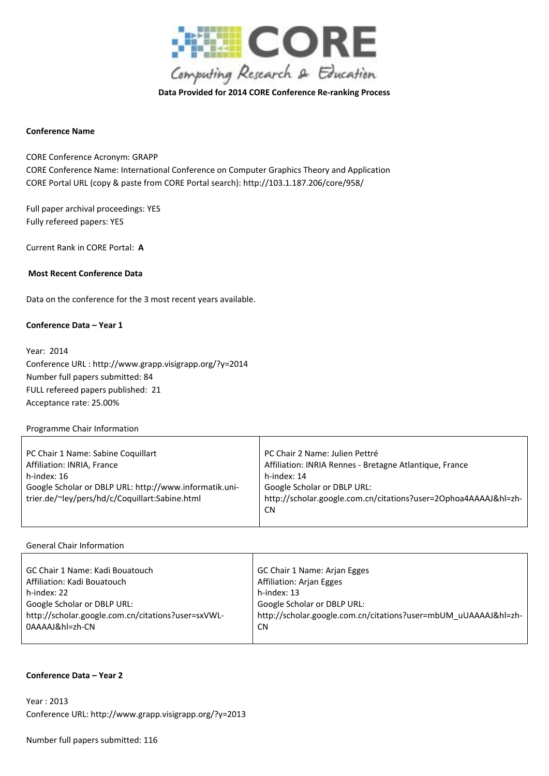

**Data Provided for 2014 CORE Conference Re-ranking Process**

### **Conference Name**

CORE Conference Acronym: GRAPP CORE Conference Name: International Conference on Computer Graphics Theory and Application CORE Portal URL (copy & paste from CORE Portal search): http://103.1.187.206/core/958/

Full paper archival proceedings: YES Fully refereed papers: YES

Current Rank in CORE Portal: **A**

### **Most Recent Conference Data**

Data on the conference for the 3 most recent years available.

### **Conference Data – Year 1**

Year: 2014 Conference URL : http://www.grapp.visigrapp.org/?y=2014 Number full papers submitted: 84 FULL refereed papers published: 21 Acceptance rate: 25.00%

### Programme Chair Information

| PC Chair 1 Name: Sabine Coquillart                     | PC Chair 2 Name: Julien Pettré                                  |
|--------------------------------------------------------|-----------------------------------------------------------------|
| Affiliation: INRIA, France                             | Affiliation: INRIA Rennes - Bretagne Atlantique, France         |
| h-index: 16                                            | h-index: 14                                                     |
| Google Scholar or DBLP URL: http://www.informatik.uni- | Google Scholar or DBLP URL:                                     |
| trier.de/~ley/pers/hd/c/Coquillart:Sabine.html         | http://scholar.google.com.cn/citations?user=20phoa4AAAAJ&hl=zh- |
|                                                        | <b>CN</b>                                                       |
|                                                        |                                                                 |

### General Chair Information

| GC Chair 1 Name: Kadi Bouatouch                    | GC Chair 1 Name: Arjan Egges                                    |
|----------------------------------------------------|-----------------------------------------------------------------|
| Affiliation: Kadi Bouatouch                        | <b>Affiliation: Arjan Egges</b>                                 |
| h-index: 22                                        | h-index: 13                                                     |
| Google Scholar or DBLP URL:                        | Google Scholar or DBLP URL:                                     |
| http://scholar.google.com.cn/citations?user=sxVWL- | http://scholar.google.com.cn/citations?user=mbUM_uUAAAAJ&hl=zh- |
| 0AAAAJ&hl=zh-CN                                    | <b>CN</b>                                                       |
|                                                    |                                                                 |

#### **Conference Data – Year 2**

Year : 2013 Conference URL: http://www.grapp.visigrapp.org/?y=2013

Number full papers submitted: 116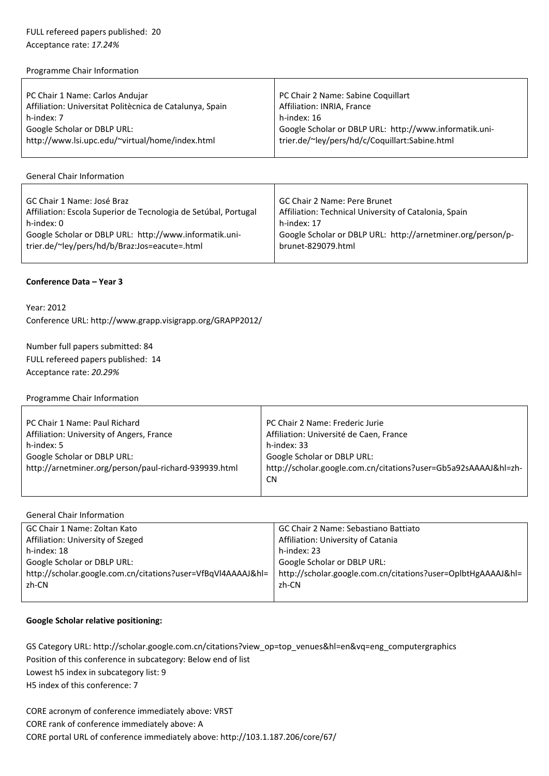# FULL refereed papers published: 20 Acceptance rate: *17.24%*

### Programme Chair Information

| PC Chair 1 Name: Carlos Andujar                          | PC Chair 2 Name: Sabine Coquillart                     |
|----------------------------------------------------------|--------------------------------------------------------|
| Affiliation: Universitat Politècnica de Catalunya, Spain | Affiliation: INRIA, France                             |
| h-index: 7                                               | h-index: 16                                            |
| Google Scholar or DBLP URL:                              | Google Scholar or DBLP URL: http://www.informatik.uni- |
| http://www.lsi.upc.edu/~virtual/home/index.html          | trier.de/~ley/pers/hd/c/Coquillart:Sabine.html         |
|                                                          |                                                        |

# General Chair Information

| GC Chair 1 Name: José Braz                                      | GC Chair 2 Name: Pere Brunet                                |
|-----------------------------------------------------------------|-------------------------------------------------------------|
| Affiliation: Escola Superior de Tecnologia de Setúbal, Portugal | Affiliation: Technical University of Catalonia, Spain       |
| h-index: 0                                                      | h-index: 17                                                 |
| Google Scholar or DBLP URL: http://www.informatik.uni-          | Google Scholar or DBLP URL: http://arnetminer.org/person/p- |
| trier.de/~ley/pers/hd/b/Braz:Jos=eacute=.html                   | brunet-829079.html                                          |
|                                                                 |                                                             |

## **Conference Data – Year 3**

## Year: 2012 Conference URL: http://www.grapp.visigrapp.org/GRAPP2012/

Number full papers submitted: 84 FULL refereed papers published: 14 Acceptance rate: *20.29%*

### Programme Chair Information

| PC Chair 1 Name: Paul Richard                         | PC Chair 2 Name: Frederic Jurie                                              |
|-------------------------------------------------------|------------------------------------------------------------------------------|
| Affiliation: University of Angers, France             | Affiliation: Université de Caen, France                                      |
| h-index: 5                                            | h-index: 33                                                                  |
| Google Scholar or DBLP URL:                           | Google Scholar or DBLP URL:                                                  |
| http://arnetminer.org/person/paul-richard-939939.html | http://scholar.google.com.cn/citations?user=Gb5a92sAAAAJ&hl=zh-<br><b>CN</b> |
|                                                       |                                                                              |

### General Chair Information

| GC Chair 1 Name: Zoltan Kato                                 | GC Chair 2 Name: Sebastiano Battiato                         |
|--------------------------------------------------------------|--------------------------------------------------------------|
| Affiliation: University of Szeged                            | Affiliation: University of Catania                           |
| h-index: 18                                                  | h-index: 23                                                  |
| Google Scholar or DBLP URL:                                  | Google Scholar or DBLP URL:                                  |
| http://scholar.google.com.cn/citations?user=VfBqVl4AAAAJ&hl= | http://scholar.google.com.cn/citations?user=OplbtHgAAAAJ&hl= |
| zh-CN                                                        | zh-CN                                                        |
|                                                              |                                                              |

## **Google Scholar relative positioning:**

GS Category URL: http://scholar.google.com.cn/citations?view\_op=top\_venues&hl=en&vq=eng\_computergraphics Position of this conference in subcategory: Below end of list Lowest h5 index in subcategory list: 9 H5 index of this conference: 7

CORE acronym of conference immediately above: VRST CORE rank of conference immediately above: A CORE portal URL of conference immediately above: http://103.1.187.206/core/67/